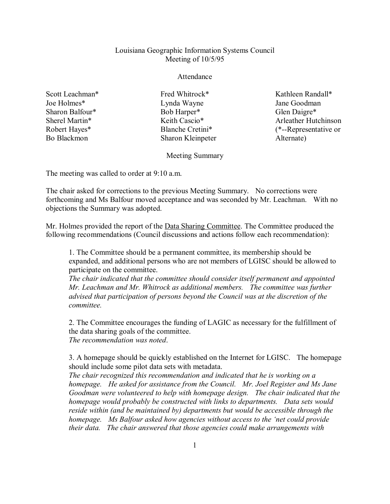## Louisiana Geographic Information Systems Council Meeting of 10/5/95

## Attendance

Scott Leachman\* Joe Holmes\* Sharon Balfour\* Sherel Martin\* Robert Hayes\* Bo Blackmon

Fred Whitrock\* Lynda Wayne Bob Harper\* Keith Cascio\* Blanche Cretini\* Sharon Kleinpeter

Kathleen Randall\* Jane Goodman Glen Daigre\* Arleather Hutchinson (\*--Representative or Alternate)

Meeting Summary

The meeting was called to order at 9:10 a.m.

The chair asked for corrections to the previous Meeting Summary. No corrections were forthcoming and Ms Balfour moved acceptance and was seconded by Mr. Leachman. With no objections the Summary was adopted.

Mr. Holmes provided the report of the Data Sharing Committee. The Committee produced the following recommendations (Council discussions and actions follow each recommendation):

1. The Committee should be a permanent committee, its membership should be expanded, and additional persons who are not members of LGISC should be allowed to participate on the committee.

*The chair indicated that the committee should consider itself permanent and appointed Mr. Leachman and Mr. Whitrock as additional members. The committee was further advised that participation of persons beyond the Council was at the discretion of the committee.*

2. The Committee encourages the funding of LAGIC as necessary for the fulfillment of the data sharing goals of the committee. *The recommendation was noted*.

3. A homepage should be quickly established on the Internet for LGISC. The homepage should include some pilot data sets with metadata.

*The chair recognized this recommendation and indicated that he is working on a homepage. He asked for assistance from the Council. Mr. Joel Register and Ms Jane Goodman were volunteered to help with homepage design. The chair indicated that the homepage would probably be constructed with links to departments. Data sets would reside within (and be maintained by) departments but would be accessible through the homepage. Ms Balfour asked how agencies without access to the 'net could provide their data. The chair answered that those agencies could make arrangements with*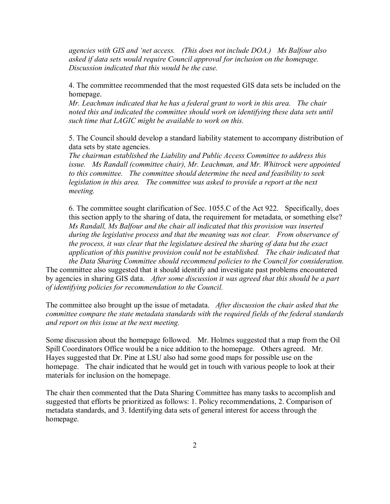*agencies with GIS and 'net access. (This does not include DOA.) Ms Balfour also asked if data sets would require Council approval for inclusion on the homepage. Discussion indicated that this would be the case.*

4. The committee recommended that the most requested GIS data sets be included on the homepage.

*Mr. Leachman indicated that he has a federal grant to work in this area. The chair noted this and indicated the committee should work on identifying these data sets until such time that LAGIC might be available to work on this.*

5. The Council should develop a standard liability statement to accompany distribution of data sets by state agencies.

*The chairman established the Liability and Public Access Committee to address this issue. Ms Randall (committee chair), Mr. Leachman, and Mr. Whitrock were appointed to this committee. The committee should determine the need and feasibility to seek legislation in this area. The committee was asked to provide a report at the next meeting.*

6. The committee sought clarification of Sec. 1055.C of the Act 922. Specifically, does this section apply to the sharing of data, the requirement for metadata, or something else? *Ms Randall, Ms Balfour and the chair all indicated that this provision was inserted during the legislative process and that the meaning was not clear. From observance of the process, it was clear that the legislature desired the sharing of data but the exact application of this punitive provision could not be established. The chair indicated that the Data Sharing Committee should recommend policies to the Council for consideration.* 

The committee also suggested that it should identify and investigate past problems encountered by agencies in sharing GIS data. *After some discussion it was agreed that this should be a part of identifying policies for recommendation to the Council.*

The committee also brought up the issue of metadata. *After discussion the chair asked that the committee compare the state metadata standards with the required fields of the federal standards and report on this issue at the next meeting.*

Some discussion about the homepage followed. Mr. Holmes suggested that a map from the Oil Spill Coordinators Office would be a nice addition to the homepage. Others agreed. Mr. Hayes suggested that Dr. Pine at LSU also had some good maps for possible use on the homepage. The chair indicated that he would get in touch with various people to look at their materials for inclusion on the homepage.

The chair then commented that the Data Sharing Committee has many tasks to accomplish and suggested that efforts be prioritized as follows: 1. Policy recommendations, 2. Comparison of metadata standards, and 3. Identifying data sets of general interest for access through the homepage.